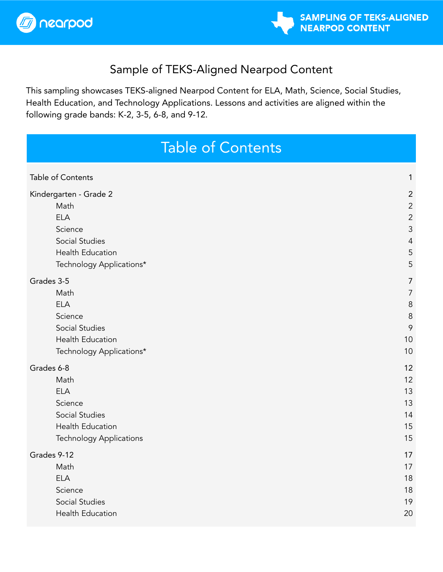



### Sample of TEKS-Aligned Nearpod Content

This sampling showcases TEKS-aligned Nearpod Content for ELA, Math, Science, Social Studies, Health Education, and Technology Applications. Lessons and activities are aligned within the following grade bands: K-2, 3-5, 6-8, and 9-12.

## Table of Contents

<span id="page-0-0"></span>

| Table of Contents              | 1              |
|--------------------------------|----------------|
| Kindergarten - Grade 2         | $\overline{2}$ |
| Math                           | $\overline{c}$ |
| <b>ELA</b>                     | $\overline{2}$ |
| Science                        | $\mathfrak{Z}$ |
| Social Studies                 | $\overline{4}$ |
| <b>Health Education</b>        | 5              |
| Technology Applications*       | 5              |
| Grades 3-5                     | 7              |
| Math                           | $\overline{7}$ |
| <b>ELA</b>                     | 8              |
| Science                        | $\, 8$         |
| Social Studies                 | 9              |
| <b>Health Education</b>        | 10             |
| Technology Applications*       | 10             |
| Grades 6-8                     | 12             |
| Math                           | 12             |
| <b>ELA</b>                     | 13             |
| Science                        | 13             |
| <b>Social Studies</b>          | 14             |
| <b>Health Education</b>        | 15             |
| <b>Technology Applications</b> | 15             |
| Grades 9-12                    | 17             |
| Math                           | 17             |
| <b>ELA</b>                     | 18             |
| Science                        | 18             |
| Social Studies                 | 19             |
| Health Education               | 20             |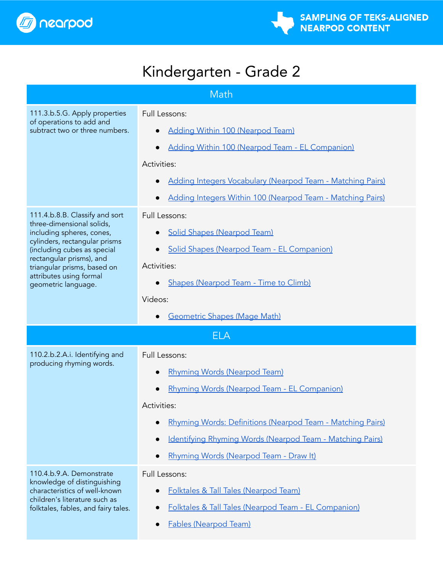

# Kindergarten - Grade 2

<span id="page-1-2"></span><span id="page-1-1"></span><span id="page-1-0"></span>

| Math                                                                                                                                                                                                                                                                  |                                                                                                                                                                                                                                                                                                      |  |
|-----------------------------------------------------------------------------------------------------------------------------------------------------------------------------------------------------------------------------------------------------------------------|------------------------------------------------------------------------------------------------------------------------------------------------------------------------------------------------------------------------------------------------------------------------------------------------------|--|
| 111.3.b.5.G. Apply properties<br>of operations to add and<br>subtract two or three numbers.                                                                                                                                                                           | Full Lessons:<br><b>Adding Within 100 (Nearpod Team)</b><br>Adding Within 100 (Nearpod Team - EL Companion)<br>Activities:<br>Adding Integers Vocabulary (Nearpod Team - Matching Pairs)<br>$\bullet$<br>Adding Integers Within 100 (Nearpod Team - Matching Pairs)                                  |  |
| 111.4.b.8.B. Classify and sort<br>three-dimensional solids,<br>including spheres, cones,<br>cylinders, rectangular prisms<br>(including cubes as special<br>rectangular prisms), and<br>triangular prisms, based on<br>attributes using formal<br>geometric language. | Full Lessons:<br><b>Solid Shapes (Nearpod Team)</b><br>Solid Shapes (Nearpod Team - EL Companion)<br>$\bullet$<br>Activities:<br>Shapes (Nearpod Team - Time to Climb)<br>Videos:<br><b>Geometric Shapes (Mage Math)</b>                                                                             |  |
| <b>ELA</b>                                                                                                                                                                                                                                                            |                                                                                                                                                                                                                                                                                                      |  |
| 110.2.b.2.A.i. Identifying and<br>producing rhyming words.                                                                                                                                                                                                            | <b>Full Lessons:</b><br>Rhyming Words (Nearpod Team)<br>Rhyming Words (Nearpod Team - EL Companion)<br>$\bullet$<br>Activities:<br>Rhyming Words: Definitions (Nearpod Team - Matching Pairs)<br>Identifying Rhyming Words (Nearpod Team - Matching Pairs)<br>Rhyming Words (Nearpod Team - Draw It) |  |
| 110.4.b.9.A. Demonstrate<br>knowledge of distinguishing<br>characteristics of well-known<br>children's literature such as<br>folktales, fables, and fairy tales.                                                                                                      | Full Lessons:<br><b>Folktales &amp; Tall Tales (Nearpod Team)</b><br>Folktales & Tall Tales (Nearpod Team - EL Companion)<br><b>Fables (Nearpod Team)</b><br>$\bullet$                                                                                                                               |  |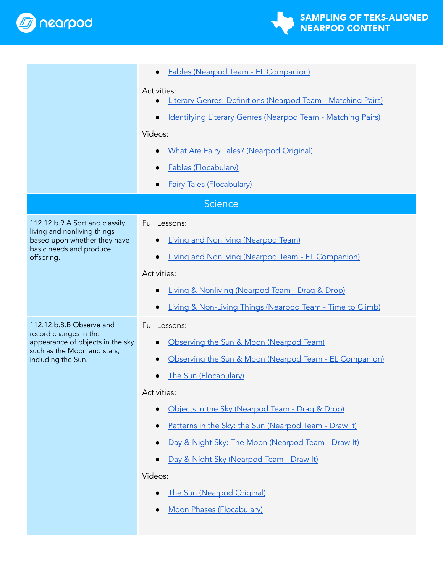

<span id="page-2-0"></span>

|                                                                                        | Fables (Nearpod Team - EL Companion)                                                     |  |
|----------------------------------------------------------------------------------------|------------------------------------------------------------------------------------------|--|
|                                                                                        | Activities:<br>Literary Genres: Definitions (Nearpod Team - Matching Pairs)<br>$\bullet$ |  |
|                                                                                        | Identifying Literary Genres (Nearpod Team - Matching Pairs)<br>$\bullet$<br>Videos:      |  |
|                                                                                        | <b>What Are Fairy Tales? (Nearpod Original)</b>                                          |  |
|                                                                                        | <b>Fables (Flocabulary)</b>                                                              |  |
|                                                                                        | <b>Fairy Tales (Flocabulary)</b>                                                         |  |
| <b>Science</b>                                                                         |                                                                                          |  |
| 112.12.b.9.A Sort and classify                                                         | Full Lessons:                                                                            |  |
| living and nonliving things<br>based upon whether they have<br>basic needs and produce | <b>Living and Nonliving (Nearpod Team)</b>                                               |  |
| offspring.                                                                             | Living and Nonliving (Nearpod Team - EL Companion)<br>$\bullet$                          |  |
|                                                                                        | Activities:                                                                              |  |
|                                                                                        | Living & Nonliving (Nearpod Team - Drag & Drop)                                          |  |
|                                                                                        | Living & Non-Living Things (Nearpod Team - Time to Climb)                                |  |
| 112.12.b.8.B Observe and<br>record changes in the                                      | Full Lessons:                                                                            |  |
| appearance of objects in the sky<br>such as the Moon and stars,                        | Observing the Sun & Moon (Nearpod Team)<br>$\bullet$                                     |  |
| including the Sun.                                                                     | Observing the Sun & Moon (Nearpod Team - EL Companion)                                   |  |
|                                                                                        | The Sun (Flocabulary)                                                                    |  |
|                                                                                        | Activities:                                                                              |  |
|                                                                                        | Objects in the Sky (Nearpod Team - Drag & Drop)                                          |  |
|                                                                                        | Patterns in the Sky: the Sun (Nearpod Team - Draw It)<br>$\bullet$                       |  |
|                                                                                        | Day & Night Sky: The Moon (Nearpod Team - Draw It)<br>$\bullet$                          |  |
|                                                                                        | Day & Night Sky (Nearpod Team - Draw It)                                                 |  |
|                                                                                        | Videos:                                                                                  |  |
|                                                                                        | The Sun (Nearpod Original)                                                               |  |
|                                                                                        | Moon Phases (Flocabulary)                                                                |  |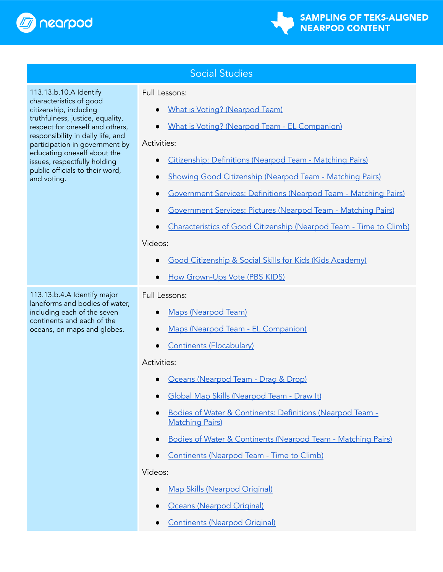

<span id="page-3-0"></span>113.13.b.10.A Identify characteristics of good citizenship, including

and voting.

truthfulness, justice, equality, respect for oneself and others, responsibility in daily life, and participation in government by educating oneself about the issues, respectfully holding public officials to their word,

### Social Studies

Full Lessons:

- What is Voting? [\(Nearpod](https://nearpod.com/t/social-studies/kindergarten/what-is-voting-k2-L103269576) Team)
- What is Voting? (Nearpod Team EL [Companion\)](https://nearpod.com/libraries/17808/preview/what-is-voting-L103290063)

#### Activities:

- [Citizenship:](https://nearpod.com/t/social-studies/2nd/citizenship-definitions-2-L77552333) Definitions (Nearpod Team Matching Pairs)
- Showing Good [Citizenship](https://nearpod.com/t/social-studies/2nd/showing-good-citizenship-2-L77552335) (Nearpod Team Matching Pairs)
- **[Government](https://nearpod.com/t/social-studies/2nd/government-services-definitions-2-L77552328) Services: Definitions (Nearpod Team Matching Pairs)**
- [Government](https://nearpod.com/t/social-studies/2nd/government-services-pictures-2-L77552327) Services: Pictures (Nearpod Team Matching Pairs)
- [Characteristics](https://nearpod.com/t/social-studies/kindergarten/characteristics-of-good-citizenship-k2-L80111492) of Good Citizenship (Nearpod Team Time to Climb)

#### Videos:

- Good [Citizenship](https://nearpod.com/t/social-studies/3rd/good-citizenship-social-skills-for-kids-L84994999) & Social Skills for Kids (Kids Academy)
- **How [Grown-Ups](https://nearpod.com/t/social-studies/5th/how-grownups-vote-L82032893) Vote (PBS KIDS)**

### Full Lessons:

- Maps [\(Nearpod](https://nearpod.com/t/social-studies/kindergarten/maps-k2-L86324822) Team)
- Maps (Nearpod Team EL [Companion\)](https://nearpod.com/libraries/17808/preview/maps-L102097884)
- Continents [\(Flocabulary\)](https://nearpod.com/libraries/23703/preview/continents-L42816960)

### Activities:

- Oceans [\(Nearpod](https://nearpod.com/t/social-studies/kindergarten/oceans-k2-L106607400) Team Drag & Drop)
- Global Map Skills [\(Nearpod](https://nearpod.com/t/social-studies/kindergarten/global-map-skills-k2-L77553820) Team Draw It)
- Bodies of Water & [Continents:](https://nearpod.com/t/social-studies/2nd/bodies-of-water-continents-definitions-2-L83081215) Definitions (Nearpod Team -[Matching](https://nearpod.com/t/social-studies/2nd/bodies-of-water-continents-definitions-2-L83081215) Pairs)
- Bodies of Water & [Continents](https://nearpod.com/t/social-studies/2nd/bodies-of-water-continents-2-L83081209) (Nearpod Team Matching Pairs)
- [Continents](https://nearpod.com/t/social-studies/kindergarten/continents-k5-L94605360) (Nearpod Team Time to Climb)

### Videos:

- Map Skills [\(Nearpod](https://nearpod.com/t/social-studies/1st/map-skills-L52655218) Original)
- **Oceans [\(Nearpod](https://nearpod.com/t/social-studies/1st/oceans-L100021277) Original)**
- **[Continents](https://nearpod.com/t/social-studies/1st/continents-L86153786) (Nearpod Original)**

113.13.b.4.A Identify major landforms and bodies of water, including each of the seven continents and each of the oceans, on maps and globes.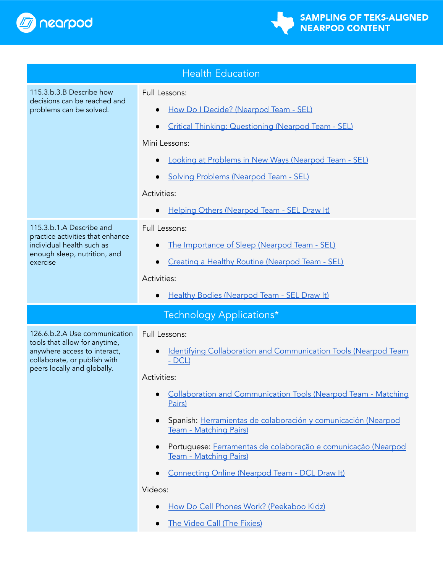



<span id="page-4-1"></span><span id="page-4-0"></span>

| <b>Health Education</b>                                                                                                                                       |                                                                                                                                                                                                                                                                                                                                                                                                                       |
|---------------------------------------------------------------------------------------------------------------------------------------------------------------|-----------------------------------------------------------------------------------------------------------------------------------------------------------------------------------------------------------------------------------------------------------------------------------------------------------------------------------------------------------------------------------------------------------------------|
| 115.3.b.3.B Describe how<br>decisions can be reached and<br>problems can be solved.                                                                           | Full Lessons:<br>How Do I Decide? (Nearpod Team - SEL)<br>Critical Thinking: Questioning (Nearpod Team - SEL)<br>Mini Lessons:                                                                                                                                                                                                                                                                                        |
|                                                                                                                                                               | Looking at Problems in New Ways (Nearpod Team - SEL)<br><b>Solving Problems (Nearpod Team - SEL)</b><br>Activities:<br>Helping Others (Nearpod Team - SEL Draw It)                                                                                                                                                                                                                                                    |
| 115.3.b.1.A Describe and<br>practice activities that enhance<br>individual health such as<br>enough sleep, nutrition, and<br>exercise                         | Full Lessons:<br>The Importance of Sleep (Nearpod Team - SEL)<br>Creating a Healthy Routine (Nearpod Team - SEL)<br>Activities:<br>Healthy Bodies (Nearpod Team - SEL Draw It)                                                                                                                                                                                                                                        |
|                                                                                                                                                               | Technology Applications*                                                                                                                                                                                                                                                                                                                                                                                              |
| 126.6.b.2.A Use communication<br>tools that allow for anytime,<br>anywhere access to interact,<br>collaborate, or publish with<br>peers locally and globally. | Full Lessons:<br>Identifying Collaboration and Communication Tools (Nearpod Team<br>$- DCL$                                                                                                                                                                                                                                                                                                                           |
|                                                                                                                                                               | Activities:<br>Collaboration and Communication Tools (Nearpod Team - Matching<br>Pairs)<br>Spanish: Herramientas de colaboración y comunicación (Nearpod<br>Team - Matching Pairs)<br>Portuguese: Ferramentas de colaboração e comunicação (Nearpod<br>Team - Matching Pairs)<br>Connecting Online (Nearpod Team - DCL Draw It)<br>Videos:<br>How Do Cell Phones Work? (Peekaboo Kidz)<br>The Video Call (The Fixies) |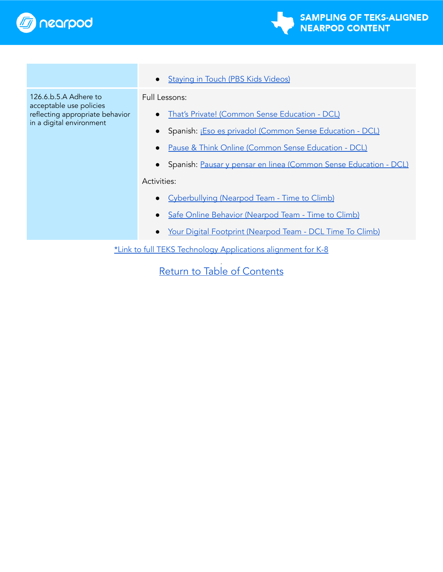



126.6.b.5.A Adhere to acceptable use policies reflecting appropriate behavior in a digital environment

● [Staying](https://nearpod.com/t/technology-and-computer-science/5th/staying-in-touch-L82015175) in Touch (PBS Kids Videos)

Full Lessons:

- That's Private! (Common Sense [Education](https://nearpod.com/libraries/17810/preview/thats-private-L43910713) DCL)
- Spanish: ¡Eso es privado! (Common Sense [Education](https://nearpod.com/libraries/17810/preview/eso-es-privado-L65189590) DCL)
- Pause & Think Online (Common Sense [Education](https://nearpod.com/libraries/17810/preview/pause-think-online-L43910582) DCL)
- Spanish: Pausar y pensar en linea (Common Sense [Education](https://nearpod.com/libraries/17810/preview/pausar-y-pensar-en-lnea-L64598987) DCL)

Activities:

- [Cyberbullying](https://nearpod.com/t/technology-and-computer-science/kindergarten/cyberbullying-k5-L80112087) (Nearpod Team Time to Climb)
- Safe Online Behavior [\(Nearpod](https://nearpod.com/t/technology-and-computer-science/kindergarten/safe-online-behavior-k5-L80112186) Team Time to Climb)
- Your Digital Footprint [\(Nearpod](https://nearpod.com/libraries/17810/preview/your-digital-footprint-k2-L102099559) Team DCL Time To Climb)

\*Link to full TEKS Technology [Applications](https://drive.google.com/file/d/1q6mVn_4yEjK2hRCQ9nX_ZFeEvGZ6pWRw/view?usp=sharing) alignment for K-8

d Return to Table of [Contents](#page-0-0)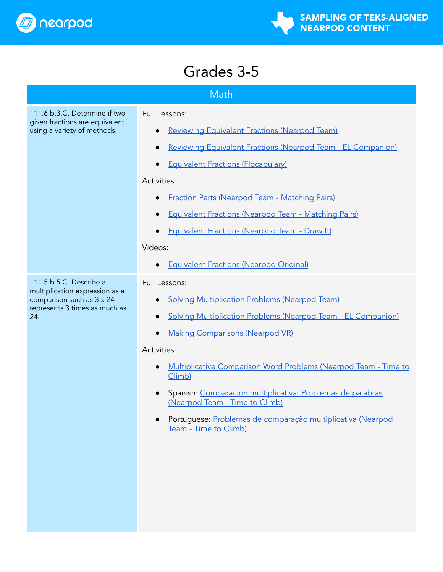

# Grades 3-5

<span id="page-6-1"></span><span id="page-6-0"></span>

| Math                                                                                                                           |                                                                                                                                                                                                                                                                                                                                                                            |  |
|--------------------------------------------------------------------------------------------------------------------------------|----------------------------------------------------------------------------------------------------------------------------------------------------------------------------------------------------------------------------------------------------------------------------------------------------------------------------------------------------------------------------|--|
| 111.6.b.3.C. Determine if two<br>given fractions are equivalent<br>using a variety of methods.                                 | Full Lessons:<br><b>Reviewing Equivalent Fractions (Nearpod Team)</b><br>Reviewing Equivalent Fractions (Nearpod Team - EL Companion)<br><b>Equivalent Fractions (Flocabulary)</b><br>Activities:<br><b>Fraction Parts (Nearpod Team - Matching Pairs)</b><br><b>Equivalent Fractions (Nearpod Team - Matching Pairs)</b><br>Equivalent Fractions (Nearpod Team - Draw It) |  |
|                                                                                                                                | Videos:<br><b>Equivalent Fractions (Nearpod Original)</b>                                                                                                                                                                                                                                                                                                                  |  |
| 111.5.b.5.C. Describe a<br>multiplication expression as a<br>comparison such as 3 x 24<br>represents 3 times as much as<br>24. | <b>Full Lessons:</b><br><b>Solving Multiplication Problems (Nearpod Team)</b><br>Solving Multiplication Problems (Nearpod Team - EL Companion)<br>$\bullet$<br><b>Making Comparisons (Nearpod VR)</b>                                                                                                                                                                      |  |
|                                                                                                                                | Activities:<br>Multiplicative Comparison Word Problems (Nearpod Team - Time to<br>Climb)<br>Spanish: Comparación multiplicativa: Problemas de palabras<br>$\bullet$<br>(Nearpod Team - Time to Climb)<br>Portuguese: Problemas de comparação multiplicativa (Nearpod<br>Team - Time to Climb)                                                                              |  |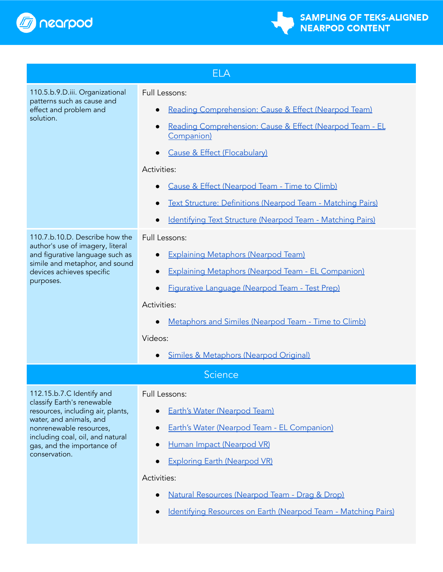



<span id="page-7-0"></span>

| <b>ELA</b>                                                                                                                                                                                                                            |                                                                                                                                                                                                                                                                                                                                                                                            |  |
|---------------------------------------------------------------------------------------------------------------------------------------------------------------------------------------------------------------------------------------|--------------------------------------------------------------------------------------------------------------------------------------------------------------------------------------------------------------------------------------------------------------------------------------------------------------------------------------------------------------------------------------------|--|
| 110.5.b.9.D.iii. Organizational<br>patterns such as cause and<br>effect and problem and<br>solution.                                                                                                                                  | <b>Full Lessons:</b><br>Reading Comprehension: Cause & Effect (Nearpod Team)<br>Reading Comprehension: Cause & Effect (Nearpod Team - EL<br>Companion)<br>Cause & Effect (Flocabulary)<br>Activities:<br>Cause & Effect (Nearpod Team - Time to Climb)<br>Text Structure: Definitions (Nearpod Team - Matching Pairs)<br><b>Identifying Text Structure (Nearpod Team - Matching Pairs)</b> |  |
| 110.7.b.10.D. Describe how the<br>author's use of imagery, literal<br>and figurative language such as<br>simile and metaphor, and sound<br>devices achieves specific<br>purposes.                                                     | Full Lessons:<br><b>Explaining Metaphors (Nearpod Team)</b><br><b>Explaining Metaphors (Nearpod Team - EL Companion)</b><br>Figurative Language (Nearpod Team - Test Prep)<br>$\bullet$<br>Activities:<br>Metaphors and Similes (Nearpod Team - Time to Climb)<br>Videos:<br>Similes & Metaphors (Nearpod Original)                                                                        |  |
| Science                                                                                                                                                                                                                               |                                                                                                                                                                                                                                                                                                                                                                                            |  |
| 112.15.b.7.C Identify and<br>classify Earth's renewable<br>resources, including air, plants,<br>water, and animals, and<br>nonrenewable resources,<br>including coal, oil, and natural<br>gas, and the importance of<br>conservation. | Full Lessons:<br><b>Earth's Water (Nearpod Team)</b><br>Earth's Water (Nearpod Team - EL Companion)<br>Human Impact (Nearpod VR)<br><b>Exploring Earth (Nearpod VR)</b><br>Activities:<br>Natural Resources (Nearpod Team - Drag & Drop)                                                                                                                                                   |  |

<span id="page-7-1"></span>● [Identifying](https://nearpod.com/t/science/4th/identifying-resources-on-earth-4-L77552209) Resources on Earth (Nearpod Team - Matching Pairs)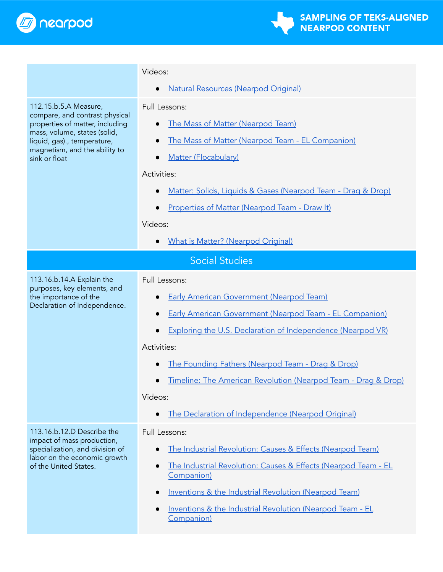

<span id="page-8-0"></span>

|                                                                                                                                                                                                             | Videos:                                                                                                                                                                                                                                                                                                                                                                                                                |  |
|-------------------------------------------------------------------------------------------------------------------------------------------------------------------------------------------------------------|------------------------------------------------------------------------------------------------------------------------------------------------------------------------------------------------------------------------------------------------------------------------------------------------------------------------------------------------------------------------------------------------------------------------|--|
|                                                                                                                                                                                                             | <b>Natural Resources (Nearpod Original)</b>                                                                                                                                                                                                                                                                                                                                                                            |  |
| 112.15.b.5.A Measure,<br>compare, and contrast physical<br>properties of matter, including<br>mass, volume, states (solid,<br>liquid, gas)., temperature,<br>magnetism, and the ability to<br>sink or float | Full Lessons:<br>The Mass of Matter (Nearpod Team)<br>The Mass of Matter (Nearpod Team - EL Companion)<br>Matter (Flocabulary)<br>$\bullet$<br>Activities:<br>Matter: Solids, Liquids & Gases (Nearpod Team - Drag & Drop)<br>Properties of Matter (Nearpod Team - Draw It)<br>Videos:                                                                                                                                 |  |
|                                                                                                                                                                                                             | What is Matter? (Nearpod Original)                                                                                                                                                                                                                                                                                                                                                                                     |  |
| <b>Social Studies</b>                                                                                                                                                                                       |                                                                                                                                                                                                                                                                                                                                                                                                                        |  |
| 113.16.b.14.A Explain the<br>purposes, key elements, and<br>the importance of the<br>Declaration of Independence.                                                                                           | <b>Full Lessons:</b><br><b>Early American Government (Nearpod Team)</b><br><b>Early American Government (Nearpod Team - EL Companion)</b><br><b>Exploring the U.S. Declaration of Independence (Nearpod VR)</b><br>Activities:<br>The Founding Fathers (Nearpod Team - Drag & Drop)<br>Timeline: The American Revolution (Nearpod Team - Drag & Drop)<br>Videos:<br>The Declaration of Independence (Nearpod Original) |  |
| 113.16.b.12.D Describe the<br>impact of mass production,<br>specialization, and division of<br>labor on the economic growth<br>of the United States.                                                        | <b>Full Lessons:</b><br>The Industrial Revolution: Causes & Effects (Nearpod Team)<br>The Industrial Revolution: Causes & Effects (Nearpod Team - EL<br>$\bullet$<br>Companion)<br>Inventions & the Industrial Revolution (Nearpod Team)<br>Inventions & the Industrial Revolution (Nearpod Team - EL<br>$\bullet$<br>Companion)                                                                                       |  |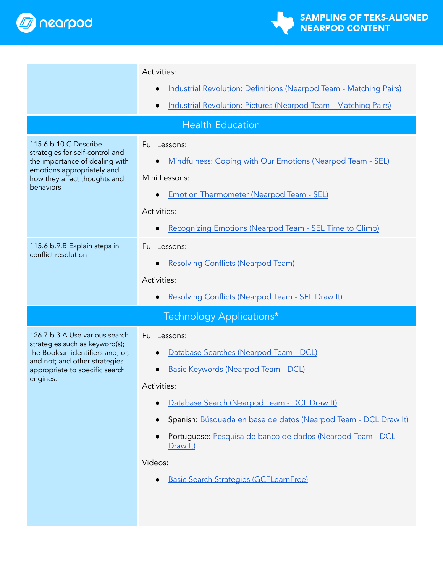

<span id="page-9-1"></span><span id="page-9-0"></span>

|                                                                                                                                                                                     | Activities:                                                                                                                                                                                                                                                                                                                                                                                |  |
|-------------------------------------------------------------------------------------------------------------------------------------------------------------------------------------|--------------------------------------------------------------------------------------------------------------------------------------------------------------------------------------------------------------------------------------------------------------------------------------------------------------------------------------------------------------------------------------------|--|
|                                                                                                                                                                                     | Industrial Revolution: Definitions (Nearpod Team - Matching Pairs)<br>$\bullet$                                                                                                                                                                                                                                                                                                            |  |
|                                                                                                                                                                                     | Industrial Revolution: Pictures (Nearpod Team - Matching Pairs)                                                                                                                                                                                                                                                                                                                            |  |
|                                                                                                                                                                                     | <b>Health Education</b>                                                                                                                                                                                                                                                                                                                                                                    |  |
| 115.6.b.10.C Describe<br>strategies for self-control and<br>the importance of dealing with<br>emotions appropriately and<br>how they affect thoughts and<br>behaviors               | Full Lessons:<br>Mindfulness: Coping with Our Emotions (Nearpod Team - SEL)<br>Mini Lessons:<br><b>Emotion Thermometer (Nearpod Team - SEL)</b><br>Activities:<br>Recognizing Emotions (Nearpod Team - SEL Time to Climb)<br>$\bullet$                                                                                                                                                     |  |
| 115.6.b.9.B Explain steps in<br>conflict resolution                                                                                                                                 | Full Lessons:<br><b>Resolving Conflicts (Nearpod Team)</b><br>$\bullet$<br>Activities:<br>Resolving Conflicts (Nearpod Team - SEL Draw It)                                                                                                                                                                                                                                                 |  |
| Technology Applications*                                                                                                                                                            |                                                                                                                                                                                                                                                                                                                                                                                            |  |
| 126.7.b.3.A Use various search<br>strategies such as keyword(s);<br>the Boolean identifiers and, or,<br>and not; and other strategies<br>appropriate to specific search<br>engines. | <b>Full Lessons:</b><br>Database Searches (Nearpod Team - DCL)<br>Basic Keywords (Nearpod Team - DCL)<br>Activities:<br>Database Search (Nearpod Team - DCL Draw It)<br>Spanish: Búsqueda en base de datos (Nearpod Team - DCL Draw It)<br>Portuguese: Pesquisa de banco de dados (Nearpod Team - DCL<br>$\bullet$<br>Draw It)<br>Videos:<br><b>Basic Search Strategies (GCFLearnFree)</b> |  |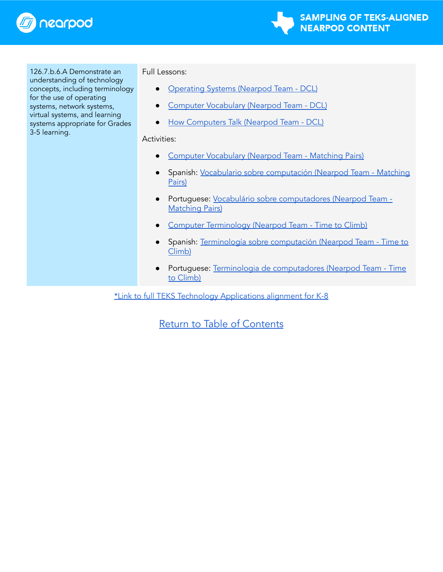

**SAMPLING OF TEKS-ALIGNED NEARPOD CONTENT** 

126.7.b.6.A Demonstrate an understanding of technology concepts, including terminology for the use of operating systems, network systems, virtual systems, and learning systems appropriate for Grades 3-5 learning.

Full Lessons:

- [Operating](https://nearpod.com/libraries/17810/preview/s3l8-operating-systems-35-L38842144) Systems (Nearpod Team DCL)
- **Computer [Vocabulary](https://nearpod.com/libraries/17810/preview/s3l6-computer-vocabulary-35-L38842120) (Nearpod Team DCL)**
- How [Computers](https://nearpod.com/libraries/17810/preview/how-computers-talk-L44478573) Talk (Nearpod Team DCL)

#### Activities:

- Computer [Vocabulary](https://nearpod.com/t/technology-and-computer-science/kindergarten/computer-vocabulary-k5-L80115621) (Nearpod Team Matching Pairs)
- Spanish: Vocabulario sobre [computación](https://nearpod.com/t/technology-and-computer-science/kindergarten/vocabulario-sobre-computacin-L99776415) (Nearpod Team Matching [Pairs\)](https://nearpod.com/t/technology-and-computer-science/kindergarten/vocabulario-sobre-computacin-L99776415)
- Portuguese: Vocabulário sobre [computadores](https://nearpod.com/t/technology-and-computer-science/kindergarten/vocabulrio-sobre-computadores-L99842588) (Nearpod Team [Matching](https://nearpod.com/t/technology-and-computer-science/kindergarten/vocabulrio-sobre-computadores-L99842588) Pairs)
- Computer [Terminology](https://nearpod.com/t/technology-and-computer-science/kindergarten/computer-terminology-k5-L80112167) (Nearpod Team Time to Climb)
- Spanish: Terminología sobre [computación](https://nearpod.com/t/technology-and-computer-science/kindergarten/terminologa-sobre-computacin-L100687548) (Nearpod Team Time to [Climb\)](https://nearpod.com/t/technology-and-computer-science/kindergarten/terminologa-sobre-computacin-L100687548)
- Portuguese: Terminologia de [computadores](https://nearpod.com/t/technology-and-computer-science/kindergarten/terminologia-de-computadores-L100689304) (Nearpod Team Time to [Climb\)](https://nearpod.com/t/technology-and-computer-science/kindergarten/terminologia-de-computadores-L100689304)

\*Link to full TEKS Technology [Applications](https://drive.google.com/file/d/1q6mVn_4yEjK2hRCQ9nX_ZFeEvGZ6pWRw/view?usp=sharing) alignment for K-8

### Return to Table of [Contents](#page-0-0)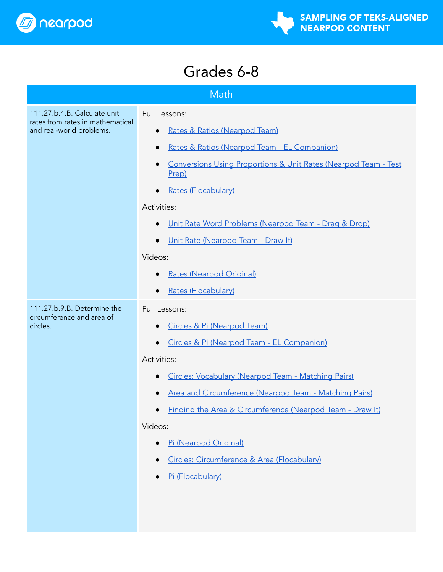

# Grades 6-8

<span id="page-11-1"></span><span id="page-11-0"></span>

| Math                                                     |                                                                          |  |
|----------------------------------------------------------|--------------------------------------------------------------------------|--|
| 111.27.b.4.B. Calculate unit<br>Full Lessons:            |                                                                          |  |
| rates from rates in mathematical                         |                                                                          |  |
| and real-world problems.                                 | Rates & Ratios (Nearpod Team)                                            |  |
|                                                          | Rates & Ratios (Nearpod Team - EL Companion)<br>$\bullet$                |  |
|                                                          | Conversions Using Proportions & Unit Rates (Nearpod Team - Test<br>Prep) |  |
|                                                          | <b>Rates (Flocabulary)</b>                                               |  |
|                                                          | Activities:                                                              |  |
|                                                          | Unit Rate Word Problems (Nearpod Team - Drag & Drop)<br>$\bullet$        |  |
|                                                          | Unit Rate (Nearpod Team - Draw It)                                       |  |
|                                                          | Videos:                                                                  |  |
|                                                          | <b>Rates (Nearpod Original)</b>                                          |  |
|                                                          | Rates (Flocabulary)                                                      |  |
| 111.27.b.9.B. Determine the<br>circumference and area of | Full Lessons:                                                            |  |
| circles.                                                 | Circles & Pi (Nearpod Team)                                              |  |
|                                                          | Circles & Pi (Nearpod Team - EL Companion)                               |  |
|                                                          | Activities:                                                              |  |
|                                                          | Circles: Vocabulary (Nearpod Team - Matching Pairs)                      |  |
|                                                          | Area and Circumference (Nearpod Team - Matching Pairs)                   |  |
|                                                          | Finding the Area & Circumference (Nearpod Team - Draw It)                |  |
|                                                          | Videos:                                                                  |  |
|                                                          | Pi (Nearpod Original)                                                    |  |
|                                                          | Circles: Circumference & Area (Flocabulary)                              |  |
|                                                          | Pi (Flocabulary)                                                         |  |
|                                                          |                                                                          |  |
|                                                          |                                                                          |  |
|                                                          |                                                                          |  |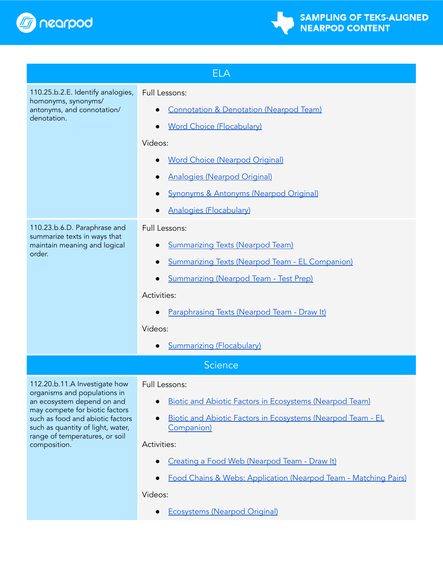



<span id="page-12-1"></span><span id="page-12-0"></span>

| <b>ELA</b>                                                                                                                                                                                                              |                                                                                                                      |  |
|-------------------------------------------------------------------------------------------------------------------------------------------------------------------------------------------------------------------------|----------------------------------------------------------------------------------------------------------------------|--|
| 110.25.b.2.E. Identify analogies,<br>homonyms, synonyms/<br>antonyms, and connotation/<br>denotation.                                                                                                                   | Full Lessons:<br><b>Connotation &amp; Denotation (Nearpod Team)</b><br><b>Word Choice (Flocabulary)</b><br>$\bullet$ |  |
|                                                                                                                                                                                                                         | Videos:                                                                                                              |  |
|                                                                                                                                                                                                                         | <b>Word Choice (Nearpod Original)</b>                                                                                |  |
|                                                                                                                                                                                                                         | <b>Analogies (Nearpod Original)</b>                                                                                  |  |
|                                                                                                                                                                                                                         | <b>Synonyms &amp; Antonyms (Nearpod Original)</b>                                                                    |  |
|                                                                                                                                                                                                                         | <b>Analogies (Flocabulary)</b>                                                                                       |  |
| 110.23.b.6.D. Paraphrase and                                                                                                                                                                                            | Full Lessons:                                                                                                        |  |
| summarize texts in ways that<br>maintain meaning and logical                                                                                                                                                            | <b>Summarizing Texts (Nearpod Team)</b>                                                                              |  |
| order.                                                                                                                                                                                                                  | <b>Summarizing Texts (Nearpod Team - EL Companion)</b>                                                               |  |
|                                                                                                                                                                                                                         | <b>Summarizing (Nearpod Team - Test Prep)</b><br>$\bullet$                                                           |  |
|                                                                                                                                                                                                                         | Activities:                                                                                                          |  |
|                                                                                                                                                                                                                         | Paraphrasing Texts (Nearpod Team - Draw It)                                                                          |  |
|                                                                                                                                                                                                                         | Videos:                                                                                                              |  |
|                                                                                                                                                                                                                         | <b>Summarizing (Flocabulary)</b>                                                                                     |  |
| <b>Science</b>                                                                                                                                                                                                          |                                                                                                                      |  |
| 112.20.b.11.A Investigate how                                                                                                                                                                                           | Full Lessons:                                                                                                        |  |
| organisms and populations in<br>an ecosystem depend on and<br>may compete for biotic factors<br>such as food and abiotic factors<br>such as quantity of light, water,<br>range of temperatures, or soil<br>composition. | <b>Biotic and Abiotic Factors in Ecosystems (Nearpod Team)</b>                                                       |  |
|                                                                                                                                                                                                                         | <u>Biotic and Abiotic Factors in Ecosystems (Nearpod Team - EL</u><br>Companion)                                     |  |
|                                                                                                                                                                                                                         | Activities:                                                                                                          |  |
|                                                                                                                                                                                                                         | Creating a Food Web (Nearpod Team - Draw It)                                                                         |  |
|                                                                                                                                                                                                                         | Food Chains & Webs: Application (Nearpod Team - Matching Pairs)                                                      |  |
|                                                                                                                                                                                                                         | Videos:                                                                                                              |  |
|                                                                                                                                                                                                                         | <b>Ecosystems (Nearpod Original)</b>                                                                                 |  |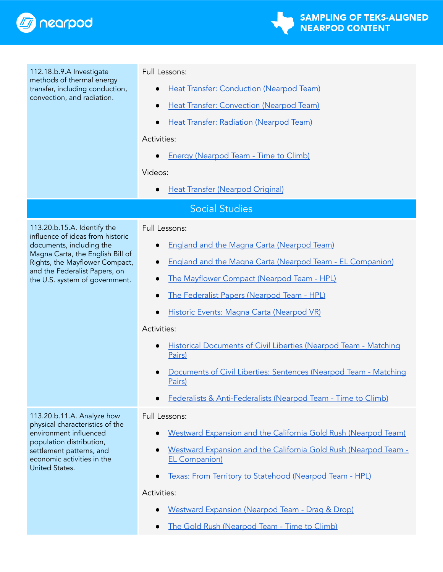

<span id="page-13-0"></span>

| 112.18.b.9.A Investigate<br>methods of thermal energy<br>transfer, including conduction,<br>convection, and radiation.                                                                          | Full Lessons:                                                                                  |  |
|-------------------------------------------------------------------------------------------------------------------------------------------------------------------------------------------------|------------------------------------------------------------------------------------------------|--|
|                                                                                                                                                                                                 | Heat Transfer: Conduction (Nearpod Team)<br>$\bullet$                                          |  |
|                                                                                                                                                                                                 | Heat Transfer: Convection (Nearpod Team)<br>$\bullet$                                          |  |
|                                                                                                                                                                                                 | Heat Transfer: Radiation (Nearpod Team)<br>$\bullet$                                           |  |
|                                                                                                                                                                                                 | Activities:                                                                                    |  |
|                                                                                                                                                                                                 | <b>Energy (Nearpod Team - Time to Climb)</b><br>$\bullet$                                      |  |
|                                                                                                                                                                                                 | Videos:                                                                                        |  |
|                                                                                                                                                                                                 | <b>Heat Transfer (Nearpod Original)</b><br>$\bullet$                                           |  |
| <b>Social Studies</b>                                                                                                                                                                           |                                                                                                |  |
| 113.20.b.15.A. Identify the<br>influence of ideas from historic                                                                                                                                 | Full Lessons:                                                                                  |  |
| documents, including the                                                                                                                                                                        | <b>England and the Magna Carta (Nearpod Team)</b><br>$\bullet$                                 |  |
| Magna Carta, the English Bill of<br>Rights, the Mayflower Compact,                                                                                                                              | <b>England and the Magna Carta (Nearpod Team - EL Companion)</b><br>$\bullet$                  |  |
| and the Federalist Papers, on<br>the U.S. system of government.                                                                                                                                 | The Mayflower Compact (Nearpod Team - HPL)<br>$\bullet$                                        |  |
|                                                                                                                                                                                                 | The Federalist Papers (Nearpod Team - HPL)<br>$\bullet$                                        |  |
|                                                                                                                                                                                                 | Historic Events: Magna Carta (Nearpod VR)<br>$\bullet$                                         |  |
|                                                                                                                                                                                                 | Activities:                                                                                    |  |
|                                                                                                                                                                                                 | <b>Historical Documents of Civil Liberties (Nearpod Team - Matching</b><br>$\bullet$<br>Pairs) |  |
|                                                                                                                                                                                                 | Documents of Civil Liberties: Sentences (Nearpod Team - Matching<br>Pairs)                     |  |
|                                                                                                                                                                                                 | Federalists & Anti-Federalists (Nearpod Team - Time to Climb)                                  |  |
| 113.20.b.11.A. Analyze how<br>physical characteristics of the<br>environment influenced<br>population distribution,<br>settlement patterns, and<br>economic activities in the<br>United States. | <b>Full Lessons:</b>                                                                           |  |
|                                                                                                                                                                                                 | Westward Expansion and the California Gold Rush (Nearpod Team)                                 |  |
|                                                                                                                                                                                                 | Westward Expansion and the California Gold Rush (Nearpod Team -<br><b>EL Companion)</b>        |  |
|                                                                                                                                                                                                 | Texas: From Territory to Statehood (Nearpod Team - HPL)                                        |  |
|                                                                                                                                                                                                 | Activities:                                                                                    |  |
|                                                                                                                                                                                                 | Westward Expansion (Nearpod Team - Drag & Drop)                                                |  |
|                                                                                                                                                                                                 | The Gold Rush (Nearpod Team - Time to Climb)<br>$\bullet$                                      |  |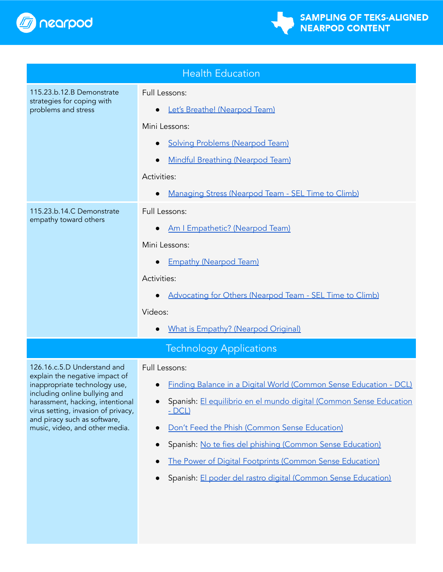

<span id="page-14-1"></span><span id="page-14-0"></span>

| <b>Health Education</b>                                                                                                                                                                                                                                                      |                                                                                                                                                                                                                                                                                                                                                                                                                        |  |
|------------------------------------------------------------------------------------------------------------------------------------------------------------------------------------------------------------------------------------------------------------------------------|------------------------------------------------------------------------------------------------------------------------------------------------------------------------------------------------------------------------------------------------------------------------------------------------------------------------------------------------------------------------------------------------------------------------|--|
| 115.23.b.12.B Demonstrate<br>strategies for coping with<br>problems and stress                                                                                                                                                                                               | Full Lessons:<br>Let's Breathe! (Nearpod Team)<br>Mini Lessons:<br><b>Solving Problems (Nearpod Team)</b><br><b>Mindful Breathing (Nearpod Team)</b><br>Activities:                                                                                                                                                                                                                                                    |  |
| 115.23.b.14.C Demonstrate<br>empathy toward others                                                                                                                                                                                                                           | Managing Stress (Nearpod Team - SEL Time to Climb)<br>Full Lessons:<br>Am I Empathetic? (Nearpod Team)<br>$\bullet$<br>Mini Lessons:<br><b>Empathy (Nearpod Team)</b><br>$\bullet$<br>Activities:<br>Advocating for Others (Nearpod Team - SEL Time to Climb)<br>Videos:<br><b>What is Empathy? (Nearpod Original)</b>                                                                                                 |  |
| <b>Technology Applications</b>                                                                                                                                                                                                                                               |                                                                                                                                                                                                                                                                                                                                                                                                                        |  |
| 126.16.c.5.D Understand and<br>explain the negative impact of<br>inappropriate technology use,<br>including online bullying and<br>harassment, hacking, intentional<br>virus setting, invasion of privacy,<br>and piracy such as software,<br>music, video, and other media. | Full Lessons:<br>• Finding Balance in a Digital World (Common Sense Education - DCL)<br>Spanish: El equilibrio en el mundo digital (Common Sense Education<br><u>- DCL)</u><br>Don't Feed the Phish (Common Sense Education)<br>Spanish: No te fies del phishing (Common Sense Education)<br>The Power of Digital Footprints (Common Sense Education)<br>Spanish: El poder del rastro digital (Common Sense Education) |  |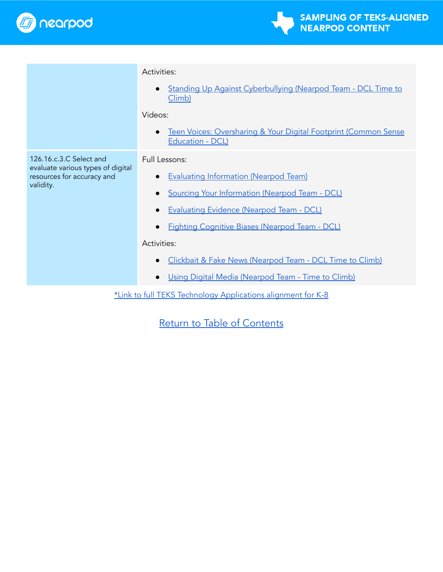

|                                                                                                         | Activities:                                                                                      |  |
|---------------------------------------------------------------------------------------------------------|--------------------------------------------------------------------------------------------------|--|
|                                                                                                         | Standing Up Against Cyberbullying (Nearpod Team - DCL Time to<br>$\bullet$<br>Climb)             |  |
|                                                                                                         | Videos:                                                                                          |  |
|                                                                                                         | Teen Voices: Oversharing & Your Digital Footprint (Common Sense<br>$\bullet$<br>Education - DCL) |  |
| 126.16.c.3.C Select and<br>evaluate various types of digital<br>resources for accuracy and<br>validity. | Full Lessons:                                                                                    |  |
|                                                                                                         | <b>Evaluating Information (Nearpod Team)</b><br>$\bullet$                                        |  |
|                                                                                                         | <b>Sourcing Your Information (Nearpod Team - DCL)</b><br>$\bullet$                               |  |
|                                                                                                         | <b>Evaluating Evidence (Nearpod Team - DCL)</b><br>$\bullet$                                     |  |
|                                                                                                         | <b>Fighting Cognitive Biases (Nearpod Team - DCL)</b><br>$\bullet$                               |  |
|                                                                                                         | Activities:                                                                                      |  |
|                                                                                                         | Clickbait & Fake News (Nearpod Team - DCL Time to Climb)<br>$\bullet$                            |  |
|                                                                                                         | Using Digital Media (Nearpod Team - Time to Climb)<br>$\bullet$                                  |  |
| *Link to full TEKS Technology Applications alignment for K-8                                            |                                                                                                  |  |

Return to Table of [Contents](#page-0-0)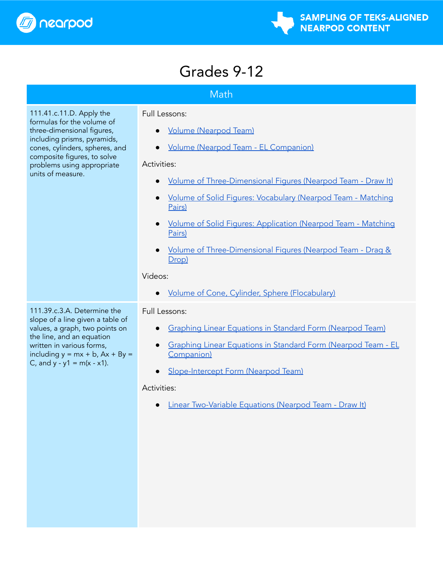

### Grades 9-12

### **Math**

<span id="page-16-1"></span><span id="page-16-0"></span>111.41.c.11.D. Apply the formulas for the volume of three-dimensional figures, including prisms, pyramids, cones, cylinders, spheres, and composite figures, to solve problems using appropriate units of measure.

### Full Lessons:

- Volume [\(Nearpod](https://nearpod.com/t/math/9th/volume-912-L96763112) Team)
- Volume (Nearpod Team EL [Companion\)](https://nearpod.com/libraries/17808/preview/volume-L101710368)

### Activities:

- Volume of [Three-Dimensional](https://nearpod.com/t/math/9th/volume-of-threedimensional-figures-912-L77553572) Figures (Nearpod Team Draw It)
- Volume of Solid Figures: [Vocabulary](https://nearpod.com/t/math/9th/volumes-of-solid-figures-vocabulary-912-L84998739) (Nearpod Team Matching [Pairs\)](https://nearpod.com/t/math/9th/volumes-of-solid-figures-vocabulary-912-L84998739)
- Volume of Solid Figures: [Application](https://nearpod.com/t/math/9th/volumes-of-solid-figures-application-912-L84998741) (Nearpod Team Matching [Pairs\)](https://nearpod.com/t/math/9th/volumes-of-solid-figures-application-912-L84998741)
- Volume of [Three-Dimensional](https://nearpod.com/t/math/9th/volume-of-threedimensional-figures-912-L108849240) Figures (Nearpod Team Drag & [Drop\)](https://nearpod.com/t/math/9th/volume-of-threedimensional-figures-912-L108849240)

### Videos:

**Volume of Cone, Cylinder, Sphere [\(Flocabulary\)](https://nearpod.com/libraries/23703/preview/volume-of-cone-cylinder-sphere-L76192783)** 

### Full Lessons:

- Graphing Linear [Equations](https://nearpod.com/t/math/9th/graphing-linear-equations-in-standard-form-912-L101391529) in Standard Form (Nearpod Team)
- Graphing Linear [Equations](https://nearpod.com/libraries/17808/preview/graphing-linear-equations-in-standard-form-L104456793) in Standard Form (Nearpod Team EL [Companion\)](https://nearpod.com/libraries/17808/preview/graphing-linear-equations-in-standard-form-L104456793)
- [Slope-Intercept](https://nearpod.com/t/math/9th/slopeintercept-form-912-L111053959) Form (Nearpod Team)

### Activities:

● Linear [Two-Variable](https://nearpod.com/t/math/9th/linear-twovariable-equations-912-L77553596) Equations (Nearpod Team - Draw It)

111.39.c.3.A. Determine the slope of a line given a table of values, a graph, two points on the line, and an equation written in various forms, including  $y = mx + b$ ,  $Ax + By =$ C, and  $y - y1 = m(x - x1)$ .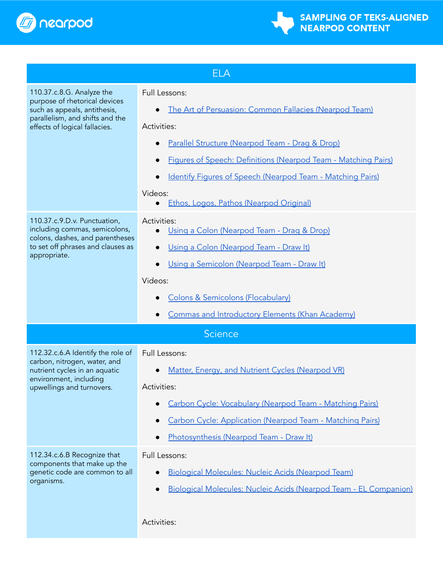



<span id="page-17-1"></span><span id="page-17-0"></span>

| <b>ELA</b>                                                                                                                                                     |                                                                                                                                                                                                                                                                                                                                        |  |
|----------------------------------------------------------------------------------------------------------------------------------------------------------------|----------------------------------------------------------------------------------------------------------------------------------------------------------------------------------------------------------------------------------------------------------------------------------------------------------------------------------------|--|
| 110.37.c.8.G. Analyze the<br>purpose of rhetorical devices<br>such as appeals, antithesis,<br>parallelism, and shifts and the<br>effects of logical fallacies. | Full Lessons:<br>The Art of Persuasion: Common Fallacies (Nearpod Team)<br>Activities:<br>Parallel Structure (Nearpod Team - Drag & Drop)<br><b>Figures of Speech: Definitions (Nearpod Team - Matching Pairs)</b><br>Identify Figures of Speech (Nearpod Team - Matching Pairs)<br>Videos:<br>Ethos, Logos, Pathos (Nearpod Original) |  |
| 110.37.c.9.D.v. Punctuation,<br>including commas, semicolons,<br>colons, dashes, and parentheses<br>to set off phrases and clauses as<br>appropriate.          | Activities:<br>Using a Colon (Nearpod Team - Drag & Drop)<br>Using a Colon (Nearpod Team - Draw It)<br>Using a Semicolon (Nearpod Team - Draw It)<br>Videos:<br><b>Colons &amp; Semicolons (Flocabulary)</b><br><b>Commas and Introductory Elements (Khan Academy)</b>                                                                 |  |
| <b>Science</b>                                                                                                                                                 |                                                                                                                                                                                                                                                                                                                                        |  |
| 112.32.c.6.A Identify the role of<br>carbon, nitrogen, water, and<br>nutrient cycles in an aquatic<br>environment, including<br>upwellings and turnovers.      | Full Lessons:<br>Matter, Energy, and Nutrient Cycles (Nearpod VR)<br>Activities:<br>Carbon Cycle: Vocabulary (Nearpod Team - Matching Pairs)<br>Carbon Cycle: Application (Nearpod Team - Matching Pairs)<br>Photosynthesis (Nearpod Team - Draw It)                                                                                   |  |
| 112.34.c.6.B Recognize that<br>components that make up the<br>genetic code are common to all<br>organisms.                                                     | Full Lessons:<br>Biological Molecules: Nucleic Acids (Nearpod Team)<br>Biological Molecules: Nucleic Acids (Nearpod Team - EL Companion)<br>Activities:                                                                                                                                                                                |  |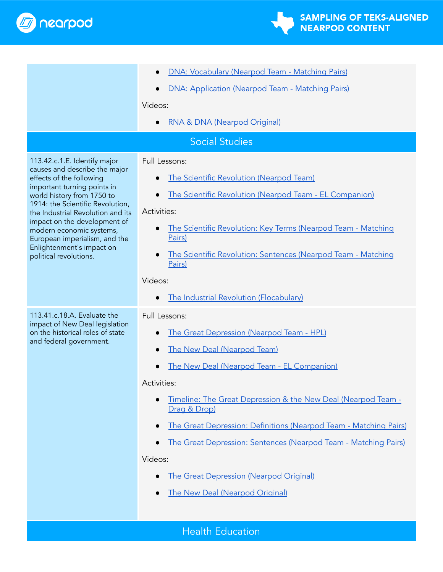



<span id="page-18-1"></span><span id="page-18-0"></span>

|                                                                                                                                                                                                                                                                                                                                                                                     | DNA: Vocabulary (Nearpod Team - Matching Pairs)                               |  |
|-------------------------------------------------------------------------------------------------------------------------------------------------------------------------------------------------------------------------------------------------------------------------------------------------------------------------------------------------------------------------------------|-------------------------------------------------------------------------------|--|
|                                                                                                                                                                                                                                                                                                                                                                                     | DNA: Application (Nearpod Team - Matching Pairs)<br>$\bullet$                 |  |
|                                                                                                                                                                                                                                                                                                                                                                                     | Videos:                                                                       |  |
|                                                                                                                                                                                                                                                                                                                                                                                     | RNA & DNA (Nearpod Original)                                                  |  |
| <b>Social Studies</b>                                                                                                                                                                                                                                                                                                                                                               |                                                                               |  |
| 113.42.c.1.E. Identify major<br>causes and describe the major<br>effects of the following<br>important turning points in<br>world history from 1750 to<br>1914: the Scientific Revolution,<br>the Industrial Revolution and its<br>impact on the development of<br>modern economic systems,<br>European imperialism, and the<br>Enlightenment's impact on<br>political revolutions. | Full Lessons:<br>The Scientific Revolution (Nearpod Team)                     |  |
|                                                                                                                                                                                                                                                                                                                                                                                     | The Scientific Revolution (Nearpod Team - EL Companion)                       |  |
|                                                                                                                                                                                                                                                                                                                                                                                     | Activities:                                                                   |  |
|                                                                                                                                                                                                                                                                                                                                                                                     | The Scientific Revolution: Key Terms (Nearpod Team - Matching<br>Pairs)       |  |
|                                                                                                                                                                                                                                                                                                                                                                                     | The Scientific Revolution: Sentences (Nearpod Team - Matching<br>Pairs)       |  |
|                                                                                                                                                                                                                                                                                                                                                                                     | Videos:                                                                       |  |
|                                                                                                                                                                                                                                                                                                                                                                                     | The Industrial Revolution (Flocabulary)                                       |  |
| 113.41.c.18.A. Evaluate the<br>impact of New Deal legislation<br>on the historical roles of state<br>and federal government.                                                                                                                                                                                                                                                        | Full Lessons:                                                                 |  |
|                                                                                                                                                                                                                                                                                                                                                                                     | The Great Depression (Nearpod Team - HPL)                                     |  |
|                                                                                                                                                                                                                                                                                                                                                                                     | The New Deal (Nearpod Team)                                                   |  |
|                                                                                                                                                                                                                                                                                                                                                                                     | The New Deal (Nearpod Team - EL Companion)                                    |  |
|                                                                                                                                                                                                                                                                                                                                                                                     | Activities:                                                                   |  |
|                                                                                                                                                                                                                                                                                                                                                                                     | Timeline: The Great Depression & the New Deal (Nearpod Team -<br>Drag & Drop) |  |
|                                                                                                                                                                                                                                                                                                                                                                                     | The Great Depression: Definitions (Nearpod Team - Matching Pairs)             |  |
|                                                                                                                                                                                                                                                                                                                                                                                     | The Great Depression: Sentences (Nearpod Team - Matching Pairs)               |  |
|                                                                                                                                                                                                                                                                                                                                                                                     | Videos:                                                                       |  |
|                                                                                                                                                                                                                                                                                                                                                                                     | <b>The Great Depression (Nearpod Original)</b>                                |  |
|                                                                                                                                                                                                                                                                                                                                                                                     | <b>The New Deal (Nearpod Original)</b>                                        |  |
|                                                                                                                                                                                                                                                                                                                                                                                     |                                                                               |  |
| <b>Health Education</b>                                                                                                                                                                                                                                                                                                                                                             |                                                                               |  |